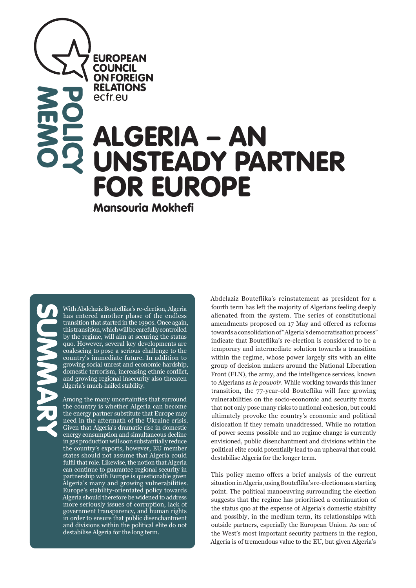**EUROPEAN COUNCIL ON FOREIGN RELATIONS** ecfreu

# ALGERIA – AN UNSTEADY PARTNER FOR EUROPE

Mansouria Mokhefi

**MEMO** 

**POLICY** 

With Abdelaziz Bouteflika's re-election, Algeria has entered another phase of the endless transition that started in the 1990s. Once again, this transition, which will be carefully controlled by the regime, will aim at securing the status quo. However, several key developments are coalescing to pose a serious challenge to the country's immediate future. In addition to growing social unrest and economic hardship, domestic terrorism, increasing ethnic conflict, and growing regional insecurity also threaten Algeria's much-hailed stability.

Among the many uncertainties that surround the country is whether Algeria can become the energy partner substitute that Europe may need in the aftermath of the Ukraine crisis. Given that Algeria's dramatic rise in domestic energy consumption and simultaneous decline in gas production will soon substantially reduce the country's exports, however, EU member states should not assume that Algeria could fulfil that role. Likewise, the notion that Algeria can continue to guarantee regional security in partnership with Europe is questionable given Algeria's many and growing vulnerabilities. Europe's stability-orientated policy towards Algeria should therefore be widened to address more seriously issues of corruption, lack of government transparency, and human rights in order to ensure that public disenchantment and divisions within the political elite do not destabilise Algeria for the long term.

Abdelaziz Bouteflika's reinstatement as president for a fourth term has left the majority of Algerians feeling deeply alienated from the system. The series of constitutional amendments proposed on 17 May and offered as reforms towards a consolidation of "Algeria's democratisation process" indicate that Bouteflika's re-election is considered to be a temporary and intermediate solution towards a transition within the regime, whose power largely sits with an elite group of decision makers around the National Liberation Front (FLN), the army, and the intelligence services, known to Algerians as *le pouvoir*. While working towards this inner transition, the 77-year-old Bouteflika will face growing vulnerabilities on the socio-economic and security fronts that not only pose many risks to national cohesion, but could ultimately provoke the country's economic and political dislocation if they remain unaddressed. While no rotation of power seems possible and no regime change is currently envisioned, public disenchantment and divisions within the political elite could potentially lead to an upheaval that could destabilise Algeria for the longer term.

This policy memo offers a brief analysis of the current situation in Algeria, using Bouteflika's re-election as a starting point. The political manoeuvring surrounding the election suggests that the regime has prioritised a continuation of the status quo at the expense of Algeria's domestic stability and possibly, in the medium term, its relationships with outside partners, especially the European Union. As one of the West's most important security partners in the region, Algeria is of tremendous value to the EU, but given Algeria's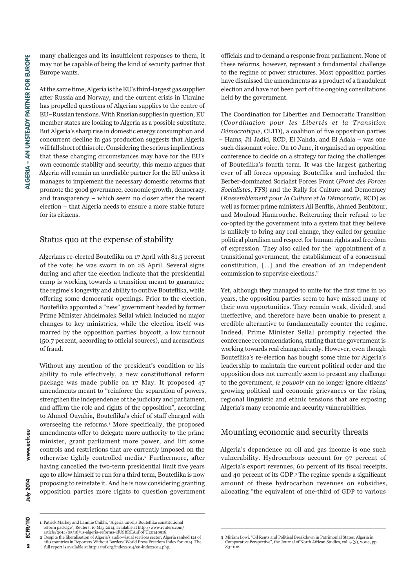many challenges and its insufficient responses to them, it may not be capable of being the kind of security partner that Europe wants.

At the same time, Algeria is the EU's third-largest gas supplier after Russia and Norway, and the current crisis in Ukraine has propelled questions of Algerian supplies to the centre of EU–Russian tensions. With Russian supplies in question, EU member states are looking to Algeria as a possible substitute. But Algeria's sharp rise in domestic energy consumption and concurrent decline in gas production suggests that Algeria will fall short of this role. Considering the serious implications that these changing circumstances may have for the EU's own economic stability and security, this memo argues that Algeria will remain an unreliable partner for the EU unless it manages to implement the necessary domestic reforms that promote the good governance, economic growth, democracy, and transparency – which seem no closer after the recent election – that Algeria needs to ensure a more stable future for its citizens.

### Status quo at the expense of stability

Algerians re-elected Bouteflika on 17 April with 81.5 percent of the vote; he was sworn in on 28 April. Several signs during and after the election indicate that the presidential camp is working towards a transition meant to guarantee the regime's longevity and ability to outlive Bouteflika, while offering some democratic openings. Prior to the election, Bouteflika appointed a "new" government headed by former Prime Minister Abdelmalek Sellal which included no major changes to key ministries, while the election itself was marred by the opposition parties' boycott, a low turnout (50.7 percent, according to official sources), and accusations of fraud.

Without any mention of the president's condition or his ability to rule effectively, a new constitutional reform package was made public on 17 May. It proposed 47 amendments meant to "reinforce the separation of powers, strengthen the independence of the judiciary and parliament, and affirm the role and rights of the opposition", according to Ahmed Ouyahia, Bouteflika's chief of staff charged with overseeing the reforms.<sup>1</sup> More specifically, the proposed amendments offer to delegate more authority to the prime minister, grant parliament more power, and lift some controls and restrictions that are currently imposed on the otherwise tightly controlled media.2 Furthermore, after having cancelled the two-term presidential limit five years ago to allow himself to run for a third term, Bouteflika is now proposing to reinstate it. And he is now considering granting opposition parties more rights to question government

officials and to demand a response from parliament. None of these reforms, however, represent a fundamental challenge to the regime or power structures. Most opposition parties have dismissed the amendments as a product of a fraudulent election and have not been part of the ongoing consultations held by the government.

The Coordination for Liberties and Democratic Transition (*Coordination pour les Libertés et la Transition Démocratique*, CLTD), a coalition of five opposition parties – Hams, Jil Jadid, RCD, El Nahda, and El Adala – was one such dissonant voice. On 10 June, it organised an opposition conference to decide on a strategy for facing the challenges of Bouteflika's fourth term. It was the largest gathering ever of all forces opposing Bouteflika and included the Berber-dominated Socialist Forces Front (*Front des Forces Socialistes*, FFS) and the Rally for Culture and Democracy (*Rassemblement pour la Culture et la Démocratie*, RCD) as well as former prime ministers Ali Benflis, Ahmed Benbitour, and Mouloud Hamrouche. Reiterating their refusal to be co-opted by the government into a system that they believe is unlikely to bring any real change, they called for genuine political pluralism and respect for human rights and freedom of expression. They also called for the "appointment of a transitional government, the establishment of a consensual constitution, […] and the creation of an independent commission to supervise elections."

Yet, although they managed to unite for the first time in 20 years, the opposition parties seem to have missed many of their own opportunities. They remain weak, divided, and ineffective, and therefore have been unable to present a credible alternative to fundamentally counter the regime. Indeed, Prime Minister Sellal promptly rejected the conference recommendations, stating that the government is working towards real change already. However, even though Bouteflika's re-election has bought some time for Algeria's leadership to maintain the current political order and the opposition does not currently seem to present any challenge to the government, *le pouvoir* can no longer ignore citizens' growing political and economic grievances or the rising regional linguistic and ethnic tensions that are exposing Algeria's many economic and security vulnerabilities.

#### Mounting economic and security threats

Algeria's dependence on oil and gas income is one such vulnerability. Hydrocarbons account for 97 percent of Algeria's export revenues, 60 percent of its fiscal receipts, and 40 percent of its GDP.3 The regime spends a significant amount of these hydrocarbon revenues on subsidies, allocating "the equivalent of one-third of GDP to various

 $\overline{\mathbf{2}}$ 

www.ecfr.eu July 2014 ECFR/110

**<sup>1</sup>** Patrick Markey and Lamine Chikhi, "Algeria unveils Bouteflika constitutional reform package", Reuters, 16 May 2014, available at http://www.reuters.com/ article/2014/05/16/us-algeria-reforms-idUSBREA4F0PU20140516.

**<sup>2</sup>** Despite the liberalisation of Algeria's audio-visual services sector, Algeria ranked 121 of

<sup>180</sup> countries in Reporters Without Borders' World Press Freedom Index for 2014. The full report is available at http://rsf.org/index2014/en-index2014.php.  $83 - 102.$ 

**<sup>3</sup>** Miriam Lowi, "Oil Rents and Political Breakdown in Patrimonial States: Algeria in Comparative Perspective", the Journal of North African Studies, vol. 9 (3), 2004, pp.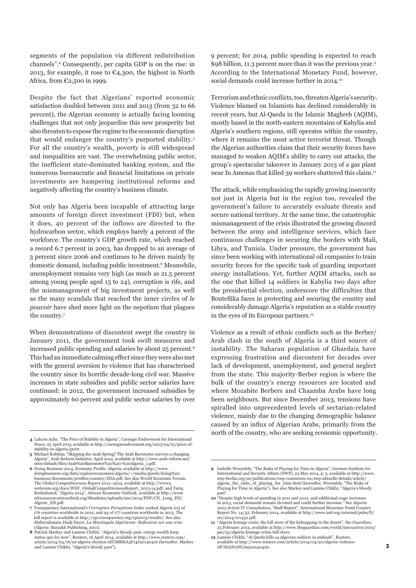segments of the population via different redistribution channels".4 Consequently, per capita GDP is on the rise: in 2013, for example, it rose to  $C$ 4,300, the highest in North Africa, from €2,500 in 1999.

Despite the fact that Algerians' reported economic satisfaction doubled between 2011 and 2013 (from 32 to 66 percent), the Algerian economy is actually facing looming challenges that not only jeopardise this new prosperity but also threaten to expose the regime to the economic disruption that would endanger the country's purported stability.5 For all the country's wealth, poverty is still widespread and inequalities are vast. The overwhelming public sector, the inefficient state-dominated banking system, and the numerous bureaucratic and financial limitations on private investments are hampering institutional reforms and negatively affecting the country's business climate.

Not only has Algeria been incapable of attracting large amounts of foreign direct investment (FDI) but, when it does, 40 percent of the inflows are directed to the hydrocarbon sector, which employs barely 4 percent of the workforce. The country's GDP growth rate, which reached a record 6.7 percent in 2003, has dropped to an average of 3 percent since 2006 and continues to be driven mainly by domestic demand, including public investment.<sup>6</sup> Meanwhile, unemployment remains very high (as much as 21.5 percent among young people aged 15 to 24), corruption is rife, and the mismanagement of big investment projects, as well as the many scandals that reached the inner circles of *le pouvoir* have shed more light on the nepotism that plagues the country.7

When demonstrations of discontent swept the country in January 2011, the government took swift measures and increased public spending and salaries by about 25 percent.8 This had an immediate calming effect since they were also met with the general aversion to violence that has characterised the country since its horrific decade-long civil war. Massive increases in state subsidies and public sector salaries have continued: in 2012, the government increased subsidies by approximately 60 percent and public sector salaries by over

- **4** Lahcen Achy, "The Price of Stability in Algeria", Carnegie Endowment for International Peace, 25 April 2013, available at http://carnegieendowment.org/2013/04/25/price-ofstability-in-algeria/g1ct#.
- **5** Michael Robbins, "Skipping the Arab Spring? The Arab Barometer surveys a changing Algeria", Arab Reform Initiative, April 2014, available at http://www.arab-reform.net/
- sites/default/files/Arab%20Barometer%20%20-%20Algeria\_1.pdf. **6** Doing Business 2014, Economy Profile: Algeria, available at http://www. doingbusiness.org/data/exploreeconomies/algeria/~/media/giawb/doing%20 business/documents/profiles/country/DZA.pdf. See also World Economic Forum, *The Global Competitiveness Report* 2013–2014, available at http://www3. weforum.org/docs/WEF\_GlobalCompetitivenessReport\_2013-14.pdf; and Tariq Benbahmed, "Algeria 2014", African Economic Outlook, available at http://www. africaneconomicoutlook.org/fileadmin/uploads/aeo/2014/PDF/CN\_Long\_EN/ Algerie\_EN.pdf.
- **7** Transparency International's *Corruption Perceptions Index* ranked Algeria 105 of 176 countries worldwide in 2012, and 94 of 177 countries worldwide in 2013. The full report is available at http://cpi.transparency.org/cpi2013/results/. See also Abderrahmane Hadj-Nacer, *La Martingale Algérienne: Reflexions sur une crise*<br>(Algeria: Barzakh Publishing, 2011).<br>**8** Patrick Markey and Lamine Chikhi, "Algeria's bloody past, energy wealth keep

status quo for now", Reuters, 16 April 2014, available at http://www.reuters.com/ article/2014/04/16/us-algeria-election-idUSBREA3F14J20140416 (hereafter, Markey and Lamine Chikhi, "Algeria's bloody past"). 9 percent; for 2014, public spending is expected to reach \$98 billion, 11.3 percent more than it was the previous year.9 According to the International Monetary Fund, however, social demands could increase further in 2014.<sup>10</sup>

Terrorism and ethnic conflicts, too, threaten Algeria's security. Violence blamed on Islamists has declined considerably in recent years, but Al-Qaeda in the Islamic Maghreb (AQIM), mostly based in the north-eastern mountains of Kabylia and Algeria's southern regions, still operates within the country, where it remains the most active terrorist threat. Though the Algerian authorities claim that their security forces have managed to weaken AQIM's ability to carry out attacks, the group's spectacular takeover in January 2013 of a gas plant near In Amenas that killed 39 workers shattered this claim.<sup>11</sup>

The attack, while emphasising the rapidly growing insecurity not just in Algeria but in the region too, revealed the government's failure to accurately evaluate threats and secure national territory. At the same time, the catastrophic mismanagement of the crisis illustrated the growing discord between the army and intelligence services, which face continuous challenges in securing the borders with Mali, Libya, and Tunisia. Under pressure, the government has since been working with international oil companies to train security forces for the specific task of guarding important energy installations. Yet, further AQIM attacks, such as the one that killed 14 soldiers in Kabylia two days after the presidential election, underscore the difficulties that Bouteflika faces in protecting and securing the country and considerably damage Algeria's reputation as a stable country in the eyes of its European partners.<sup>12</sup>

Violence as a result of ethnic conflicts such as the Berber/ Arab clash in the south of Algeria is a third source of instability. The Saharan population of Ghardaia have expressing frustration and discontent for decades over lack of development, unemployment, and general neglect from the state. This majority-Berber region is where the bulk of the country's energy resources are located and where Mozabite Berbers and Chaamba Arabs have long been neighbours. But since December 2013, tensions have spiralled into unprecedented levels of sectarian-related violence, mainly due to the changing demographic balance caused by an influx of Algerian Arabs, primarily from the north of the country, who are seeking economic opportunity.

**<sup>9</sup>** Isabelle Werenfels, "The Risks of Playing for Time in Algeria", German Institute for International and Security Affairs (SWP), 23 May 2014, p. 5, available at http://www. swp-berlin.org/en/publications/swp-comments-en/swp-aktuelle-details/article/ algeria\_the\_risks\_of\_playing\_for\_time.html (hereafter, Werenfels, "The Risks of Playing for Time in Algeria"). See also Markey and Lamine Chikhi, "Algeria's bloody past".

**<sup>10</sup>** "Despite high levels of spending in 2011 and 2012, and additional wage increases in 2013, social demands remain elevated and could further increase." See *Algeria 2013 Article IV Consultation*, "Staff Report", International Monetary Fund Country Report No. 14/32, February 2014, available at http://www.imf.org/external/pubs/ft/ scr/2014/cr1432.pdf.

**<sup>11</sup>** "Algeria hostage crisis: the full story of the kidnapping in the desert", the *Guardian*, 25 February 2013, available at http://www.theguardian.com/world/interactive/2013/ jan/25/algeria-hostage-crisis-full-story.

**<sup>12</sup>** Lamine Chikhi, "Al Qaeda kills 14 Algerian soldiers in ambush", Reuters, railable at http://www.reuters.com/article/2014/04/20/algeria-violenceidUSL6N0NC09520140420.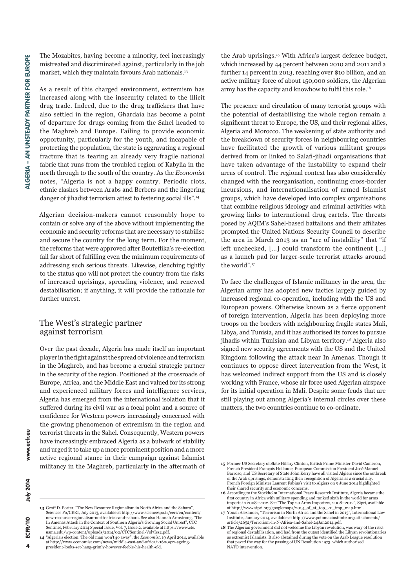The Mozabites, having become a minority, feel increasingly mistreated and discriminated against, particularly in the job market, which they maintain favours Arab nationals.13

As a result of this charged environment, extremism has increased along with the insecurity related to the illicit drug trade. Indeed, due to the drug traffickers that have also settled in the region, Ghardaia has become a point of departure for drugs coming from the Sahel headed to the Maghreb and Europe. Failing to provide economic opportunity, particularly for the youth, and incapable of protecting the population, the state is aggravating a regional fracture that is tearing an already very fragile national fabric that runs from the troubled region of Kabylia in the north through to the south of the country. As the *Economist* notes, "Algeria is not a happy country. Periodic riots, ethnic clashes between Arabs and Berbers and the lingering danger of jihadist terrorism attest to festering social ills".<sup>14</sup>

Algerian decision-makers cannot reasonably hope to contain or solve any of the above without implementing the economic and security reforms that are necessary to stabilise and secure the country for the long term. For the moment, the reforms that were approved after Bouteflika's re-election fall far short of fulfilling even the minimum requirements of addressing such serious threats. Likewise, clenching tightly to the status quo will not protect the country from the risks of increased uprisings, spreading violence, and renewed destabilisation; if anything, it will provide the rationale for further unrest.

#### The West's strategic partner against terrorism

Over the past decade, Algeria has made itself an important player in the fight against the spread of violence and terrorism in the Maghreb, and has become a crucial strategic partner in the security of the region. Positioned at the crossroads of Europe, Africa, and the Middle East and valued for its strong and experienced military forces and intelligence services, Algeria has emerged from the international isolation that it suffered during its civil war as a focal point and a source of confidence for Western powers increasingly concerned with the growing phenomenon of extremism in the region and terrorist threats in the Sahel. Consequently, Western powers have increasingly embraced Algeria as a bulwark of stability and urged it to take up a more prominent position and a more active regional stance in their campaign against Islamist militancy in the Maghreb, particularly in the aftermath of

**13** Geoff D. Porter, "The New Resource Regionalism in North Africa and the Sahara", Sciences Po/CERI, July 2013, available at http://www.sciencespo.fr/ceri/en/content/ new-resource-regionalism-north-africa-and-sahara. See also Hannah Armstrong, "The In Amenas Attack in the Context of Southern Algeria's Growing Social Unrest", CTC<br>Sentinel, February 2014 Special Issue, Vol. 7, Issue 2, available at https://www.ctc.<br>usma.edu/wp-content/uploads/2014/02/CTCSentinel-Vol7Is

the Arab uprisings.15 With Africa's largest defence budget, which increased by 44 percent between 2010 and 2011 and a further 14 percent in 2013, reaching over \$10 billion, and an active military force of about 150,000 soldiers, the Algerian army has the capacity and knowhow to fulfil this role.16

The presence and circulation of many terrorist groups with the potential of destabilising the whole region remain a significant threat to Europe, the US, and their regional allies, Algeria and Morocco. The weakening of state authority and the breakdown of security forces in neighbouring countries have facilitated the growth of various militant groups derived from or linked to Salafi-jihadi organisations that have taken advantage of the instability to expand their areas of control. The regional context has also considerably changed with the reorganisation, continuing cross-border incursions, and internationalisation of armed Islamist groups, which have developed into complex organisations that combine religious ideology and criminal activities with growing links to international drug cartels. The threats posed by AQIM's Sahel-based battalions and their affiliates prompted the United Nations Security Council to describe the area in March 2013 as an "arc of instability" that "if left unchecked, […] could transform the continent […] as a launch pad for larger-scale terrorist attacks around the world".17

To face the challenges of Islamic militancy in the area, the Algerian army has adopted new tactics largely guided by increased regional co-operation, including with the US and European powers. Otherwise known as a fierce opponent of foreign intervention, Algeria has been deploying more troops on the borders with neighbouring fragile states Mali, Libya, and Tunisia, and it has authorised its forces to pursue jihadis within Tunisian and Libyan territory.18 Algeria also signed new security agreements with the US and the United Kingdom following the attack near In Amenas. Though it continues to oppose direct intervention from the West, it has welcomed indirect support from the US and is closely working with France, whose air force used Algerian airspace for its initial operation in Mali. Despite some feuds that are still playing out among Algeria's internal circles over these matters, the two countries continue to co-ordinate.

**<sup>14</sup>** "Algeria's election: The old man won't go away", the *Economist*, 19 April 2014, available at http://www.economist.com/news/middle-east-and-africa/216009 president-looks-set-hang-grimly-however-feeble-his-health-old.

**<sup>15</sup>** Former US Secretary of State Hillary Clinton, British Prime Minister David Cameron, French President François Hollande, European Commission President José Manuel Barroso, and US Secretary of State John Kerry have all visited Algiers since the outbreak of the Arab uprisings, demonstrating their recognition of Algeria as a crucial ally. French Foreign Minister Laurent Fabius's visit to Algiers on 9 June 2014 highlighted their shared security and economic concerns.

**<sup>16</sup>** According to the Stockholm International Peace Research Institute, Algeria became the first country in Africa with military spending and ranked sixth in the world for arms imports in 2008–2012. See "The Top 20 Arms Importers, 2008–2012", Sipri, available

at http://www.sipri.org/googlemaps/2013\_of\_at\_top\_20\_imp\_map.html.<br>17 Vonah Alexander, "Terrorism in North Africa and the Sahel in 2013", International Law<br>Institute, January 2014, available at http://www.potomacinstitute. article/2652/Terrorism-in-N-Africa-and-Sahel-24Jan2014.pdf. **18** The Algerian government did not welcome the Libyan revolution, was wary of the risks

of regional destabilisation, and had from the outset identified the Libyan revolutionaries as extremist Islamists. It also abstained during the vote on the Arab League resolution that paved the way for the passing of UN Resolution 1973, which authorised NATO intervention.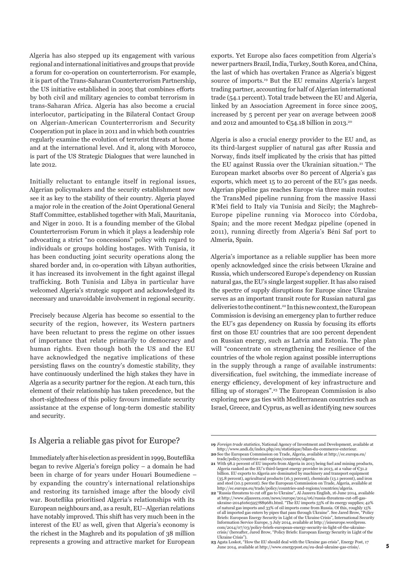Algeria has also stepped up its engagement with various regional and international initiatives and groups that provide a forum for co-operation on counterterrorism. For example, it is part of the Trans-Saharan Counterterrorism Partnership, the US initiative established in 2005 that combines efforts by both civil and military agencies to combat terrorism in trans-Saharan Africa. Algeria has also become a crucial interlocutor, participating in the Bilateral Contact Group on Algerian-American Counterterrorism and Security Cooperation put in place in 2011 and in which both countries regularly examine the evolution of terrorist threats at home and at the international level. And it, along with Morocco, is part of the US Strategic Dialogues that were launched in late 2012.

Initially reluctant to entangle itself in regional issues, Algerian policymakers and the security establishment now see it as key to the stability of their country. Algeria played a major role in the creation of the Joint Operational General Staff Committee, established together with Mali, Mauritania, and Niger in 2010. It is a founding member of the Global Counterterrorism Forum in which it plays a leadership role advocating a strict "no concessions" policy with regard to individuals or groups holding hostages. With Tunisia, it has been conducting joint security operations along the shared border and, in co-operation with Libyan authorities, it has increased its involvement in the fight against illegal trafficking. Both Tunisia and Libya in particular have welcomed Algeria's strategic support and acknowledged its necessary and unavoidable involvement in regional security.

Precisely because Algeria has become so essential to the security of the region, however, its Western partners have been reluctant to press the regime on other issues of importance that relate primarily to democracy and human rights. Even though both the US and the EU have acknowledged the negative implications of these persisting flaws on the country's domestic stability, they have continuously underlined the high stakes they have in Algeria as a security partner for the region. At each turn, this element of their relationship has taken precedence, but the short-sightedness of this policy favours immediate security assistance at the expense of long-term domestic stability and security.

#### Is Algeria a reliable gas pivot for Europe?

Immediately after his election as president in 1999, Bouteflika began to revive Algeria's foreign policy – a domain he had been in charge of for years under Houari Boumediene – by expanding the country's international relationships and restoring its tarnished image after the bloody civil war. Bouteflika prioritised Algeria's relationships with its European neighbours and, as a result, EU–Algerian relations have notably improved. This shift has very much been in the interest of the EU as well, given that Algeria's economy is the richest in the Maghreb and its population of 38 million represents a growing and attractive market for European

exports. Yet Europe also faces competition from Algeria's newer partners Brazil, India, Turkey, South Korea, and China, the last of which has overtaken France as Algeria's biggest source of imports.19 But the EU remains Algeria's largest trading partner, accounting for half of Algerian international trade (54.1 percent). Total trade between the EU and Algeria, linked by an Association Agreement in force since 2005, increased by 5 percent per year on average between 2008 and 2012 and amounted to  $\mathfrak{C}_5$ 4.18 billion in 2013.<sup>20</sup>

Algeria is also a crucial energy provider to the EU and, as its third-largest supplier of natural gas after Russia and Norway, finds itself implicated by the crisis that has pitted the EU against Russia over the Ukrainian situation.<sup>21</sup> The European market absorbs over 80 percent of Algeria's gas exports, which meet 15 to 20 percent of the EU's gas needs. Algerian pipeline gas reaches Europe via three main routes: the TransMed pipeline running from the massive Hassi R'Mei field to Italy via Tunisia and Sicily; the Maghreb-Europe pipeline running via Morocco into Córdoba, Spain; and the more recent Medgaz pipeline (opened in 2011), running directly from Algeria's Béni Saf port to Almería, Spain.

Algeria's importance as a reliable supplier has been more openly acknowledged since the crisis between Ukraine and Russia, which underscored Europe's dependency on Russian natural gas, the EU's single largest supplier. It has also raised the spectre of supply disruptions for Europe since Ukraine serves as an important transit route for Russian natural gas deliveries to the continent.22 In this new context, the European Commission is devising an emergency plan to further reduce the EU's gas dependency on Russia by focusing its efforts first on those EU countries that are 100 percent dependent on Russian energy, such as Latvia and Estonia. The plan will "concentrate on strengthening the resilience of the countries of the whole region against possible interruptions in the supply through a range of available instruments: diversification, fuel switching, the immediate increase of energy efficiency, development of key infrastructure and filling up of storages".23 The European Commission is also exploring new gas ties with Mediterranean countries such as Israel, Greece, and Cyprus, as well as identifying new sources

**<sup>19</sup>** *Foreign trade statistics*, National Agency of Investment and Development, available at http://www.andi.dz/index.php/en/statistique/bilan-du-commerce-exterieur. **20** See the European Commission on Trade, Algeria, available at http://ec.europa.eu/

trade/policy/countries-and-regions/countries/algeria. **21** With 98.2 percent of EU imports from Algeria in 2013 being fuel and mining products, Algeria ranked as the EU's third-largest energy provider in 2013, at a value of €31.2 billion. EU exports to Algeria are dominated by machinery and transport equipment (35.8 percent), agricultural products (16.3 percent), chemicals (13.1 percent), and iron and steel (10.5 percent). See the European Commission on Trade, Algeria, available at http://ec.europa.eu/trade/policy/countries-and-regions/countries/algeria.

**<sup>22</sup>** "Russia threatens to cut off gas to Ukraine", Al Jazeera English, 16 June 2014, available at http://www.aljazeera.com/news/europe/2014/06/russia-threatens-cut-off-gasukraine-201461605957889681.html. "The EU imports 53% of its energy supplies; 42% of natural gas imports and 33% of oil imports come from Russia. Of this, roughly 15% of all imported gas enters by pipes that pass through Ukraine". See Jared Brow, "Policy Briefs: European Energy Security in Light of the Ukraine Crisis", International Security Information Service Europe, 3 July 2014, available at http://isiseurope.wordpress. com/2014/07/03/policy-briefs-european-energy-security-in-light-of-the-ukrainecrisis/ (hereafter, Jared Brow, "Policy Briefs: European Energy Security in Light of the Ukraine Crisis").

**<sup>23</sup>** Agata Loskot, "How the EU should deal with the Ukraine gas crisis", Energy Post, 17 June 2014, available at http://www.energypost.eu/eu-deal-ukraine-gas-crisis/.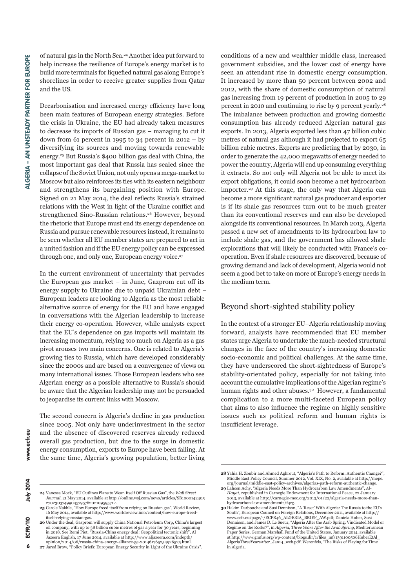of natural gas in the North Sea.24 Another idea put forward to help increase the resilience of Europe's energy market is to build more terminals for liquefied natural gas along Europe's shorelines in order to receive greater supplies from Qatar and the US.

Decarbonisation and increased energy efficiency have long been main features of European energy strategies. Before the crisis in Ukraine, the EU had already taken measures to decrease its imports of Russian gas – managing to cut it down from 61 percent in 1995 to 34 percent in  $2012 - by$ diversifying its sources and moving towards renewable energy.25 But Russia's \$400 billion gas deal with China, the most important gas deal that Russia has sealed since the collapse of the Soviet Union, not only opens a mega-market to Moscow but also reinforces its ties with its eastern neighbour and strengthens its bargaining position with Europe. Signed on 21 May 2014, the deal reflects Russia's strained relations with the West in light of the Ukraine conflict and strengthened Sino-Russian relations.<sup>26</sup> However, beyond the rhetoric that Europe must end its energy dependence on Russia and pursue renewable resources instead, it remains to be seen whether all EU member states are prepared to act in a united fashion and if the EU energy policy can be expressed through one, and only one, European energy voice.<sup>27</sup>

In the current environment of uncertainty that pervades the European gas market – in June, Gazprom cut off its energy supply to Ukraine due to unpaid Ukrainian debt – European leaders are looking to Algeria as the most reliable alternative source of energy for the EU and have engaged in conversations with the Algerian leadership to increase their energy co-operation. However, while analysts expect that the EU's dependence on gas imports will maintain its increasing momentum, relying too much on Algeria as a gas pivot arouses two main concerns. One is related to Algeria's growing ties to Russia, which have developed considerably since the 2000s and are based on a convergence of views on many international issues. Those European leaders who see Algerian energy as a possible alternative to Russia's should be aware that the Algerian leadership may not be persuaded to jeopardise its current links with Moscow.

The second concern is Algeria's decline in gas production since 2005. Not only have underinvestment in the sector and the absence of discovered reserves already reduced overall gas production, but due to the surge in domestic energy consumption, exports to Europe have been falling. At the same time, Algeria's growing population, better living conditions of a new and wealthier middle class, increased government subsidies, and the lower cost of energy have seen an attendant rise in domestic energy consumption. It increased by more than 50 percent between 2002 and 2012, with the share of domestic consumption of natural gas increasing from 19 percent of production in 2005 to 29 percent in 2010 and continuing to rise by 9 percent yearly.28 The imbalance between production and growing domestic consumption has already reduced Algerian natural gas exports. In 2013, Algeria exported less than 47 billion cubic metres of natural gas although it had projected to export 65 billion cubic metres. Experts are predicting that by 2030, in order to generate the 42,000 megawatts of energy needed to power the country, Algeria will end up consuming everything it extracts. So not only will Algeria not be able to meet its export obligations, it could soon become a net hydrocarbon importer.29 At this stage, the only way that Algeria can become a more significant natural gas producer and exporter is if its shale gas resources turn out to be much greater than its conventional reserves and can also be developed alongside its conventional resources. In March 2013, Algeria passed a new set of amendments to its hydrocarbon law to include shale gas, and the government has allowed shale explorations that will likely be conducted with France's cooperation. Even if shale resources are discovered, because of growing demand and lack of development, Algeria would not seem a good bet to take on more of Europe's energy needs in the medium term.

#### Beyond short-sighted stability policy

In the context of a stronger EU–Algeria relationship moving forward, analysts have recommended that EU member states urge Algeria to undertake the much-needed structural changes in the face of the country's increasing domestic socio-economic and political challenges. At the same time, they have underscored the short-sightedness of Europe's stability-orientated policy, especially for not taking into account the cumulative implications of the Algerian regime's human rights and other abuses.<sup>30</sup> However, a fundamental complication to a more multi-faceted European policy that aims to also influence the regime on highly sensitive issues such as political reform and human rights is insufficient leverage.

6

**24** Vanessa Mock, "EU Outlines Plans to Wean Itself Off Russian Gas", the *Wall Street Journal*, 21 May 2014, available at http://online.wsj.com/news/articles/SB1000142405

**25** Carole Nakhle, "How Europe freed itself from relying on Russian gas", World Review, 16 May 2014, available at http://www.worldreview.info/content/how-europe-freed-

**26** Under the deal, Gazprom will supply China National Petroleum Corp, China's largest

2702303749904579576202109595712.

itself-relying-russian-gas.

**<sup>28</sup>** Yahia H. Zoubir and Ahmed Aghrout, "Algeria's Path to Reform: Authentic Change?", Middle East Policy Council, Summer 2012, Vol. XIX, No. 2, available at http://mepc.

org/journal/middle-east-policy-archives/algerias-path-reform-authentic-change. **29** Lahcen Achy, "Algeria Needs More Than Hydrocarbon Law Amendments", *Al-Hayat*, republished in Carnegie Endowment for International Peace, 22 January 2013, available at http://carnegie-mec.org/2013/01/22/algeria-needs-more-thanhydrocarbon-law-amendments/f4rg.

**<sup>30</sup>** Hakim Darbouche and Susi Dennison, "A 'Reset' With Algeria: The Russia to the EU's South", European Council on Foreign Relations, December 2011, available at http:// www.ecfr.eu/page/-/ECFR46\_ALGERIA\_BRIEF\_AW.pdf; Daniela Huber, Susi Dennison, and James D. Le Sueur, "Algeria After the Arab Spring: Vindicated Model or<br>Regime on the Rocks?", in *Algeria, Three Years After the Arab Spring,* Mediterranean<br>Paper Series, German Marshall Fund of the United St at http://www.gmfus.org/wp-content/blogs.dir/1/files\_mf/1391100506HuberEtAl\_ AlgeriaThreeYearsAfter\_Jan14\_web.pdf; Werenfels, "The Risks of Playing for Time in Algeria.

July 2014 ECFR/110

oil company, with up to 38 billion cubic metres of gas a year for 30 years, beginning in 2018. See Remi Piet, "Russia-China energy deal: Geopolitical tectonic shift", Al Jazeera English, 17 June 2014, available at http://www.aljazeera.com/indepth/

opinion/2014/06/russia-china-energy-alliance-ge-201461765254926525.html. **27** Jared Brow, "Policy Briefs: European Energy Security in Light of the Ukraine Crisis".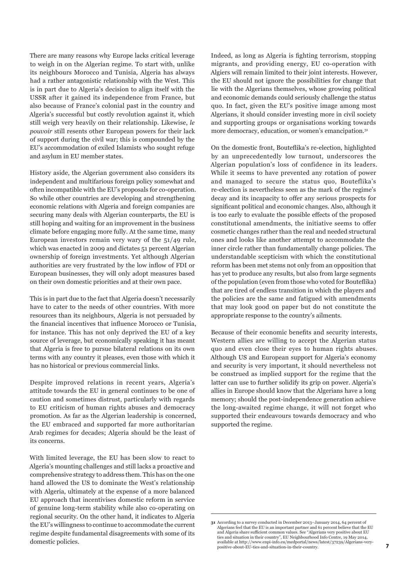There are many reasons why Europe lacks critical leverage to weigh in on the Algerian regime. To start with, unlike its neighbours Morocco and Tunisia, Algeria has always had a rather antagonistic relationship with the West. This is in part due to Algeria's decision to align itself with the USSR after it gained its independence from France, but also because of France's colonial past in the country and Algeria's successful but costly revolution against it, which still weigh very heavily on their relationship. Likewise, *le pouvoir* still resents other European powers for their lack of support during the civil war; this is compounded by the EU's accommodation of exiled Islamists who sought refuge and asylum in EU member states.

History aside, the Algerian government also considers its independent and multifarious foreign policy somewhat and often incompatible with the EU's proposals for co-operation. So while other countries are developing and strengthening economic relations with Algeria and foreign companies are securing many deals with Algerian counterparts, the EU is still hoping and waiting for an improvement in the business climate before engaging more fully. At the same time, many European investors remain very wary of the 51/49 rule, which was enacted in 2009 and dictates 51 percent Algerian ownership of foreign investments. Yet although Algerian authorities are very frustrated by the low inflow of FDI or European businesses, they will only adopt measures based on their own domestic priorities and at their own pace.

This is in part due to the fact that Algeria doesn't necessarily have to cater to the needs of other countries. With more resources than its neighbours, Algeria is not persuaded by the financial incentives that influence Morocco or Tunisia, for instance. This has not only deprived the EU of a key source of leverage, but economically speaking it has meant that Algeria is free to pursue bilateral relations on its own terms with any country it pleases, even those with which it has no historical or previous commercial links.

Despite improved relations in recent years, Algeria's attitude towards the EU in general continues to be one of caution and sometimes distrust, particularly with regards to EU criticism of human rights abuses and democracy promotion. As far as the Algerian leadership is concerned, the EU embraced and supported far more authoritarian Arab regimes for decades; Algeria should be the least of its concerns.

With limited leverage, the EU has been slow to react to Algeria's mounting challenges and still lacks a proactive and comprehensive strategy to address them. This has on the one hand allowed the US to dominate the West's relationship with Algeria, ultimately at the expense of a more balanced EU approach that incentivises domestic reform in service of genuine long-term stability while also co-operating on regional security. On the other hand, it indicates to Algeria the EU's willingness to continue to accommodate the current regime despite fundamental disagreements with some of its domestic policies.

Indeed, as long as Algeria is fighting terrorism, stopping migrants, and providing energy, EU co-operation with Algiers will remain limited to their joint interests. However, the EU should not ignore the possibilities for change that lie with the Algerians themselves, whose growing political and economic demands could seriously challenge the status quo. In fact, given the EU's positive image among most Algerians, it should consider investing more in civil society and supporting groups or organisations working towards more democracy, education, or women's emancipation.<sup>31</sup>

On the domestic front, Bouteflika's re-election, highlighted by an unprecedentedly low turnout, underscores the Algerian population's loss of confidence in its leaders. While it seems to have prevented any rotation of power and managed to secure the status quo, Bouteflika's re-election is nevertheless seen as the mark of the regime's decay and its incapacity to offer any serious prospects for significant political and economic changes. Also, although it is too early to evaluate the possible effects of the proposed constitutional amendments, the initiative seems to offer cosmetic changes rather than the real and needed structural ones and looks like another attempt to accommodate the inner circle rather than fundamentally change policies. The understandable scepticism with which the constitutional reform has been met stems not only from an opposition that has yet to produce any results, but also from large segments of the population (even from those who voted for Bouteflika) that are tired of endless transition in which the players and the policies are the same and fatigued with amendments that may look good on paper but do not constitute the appropriate response to the country's ailments.

Because of their economic benefits and security interests, Western allies are willing to accept the Algerian status quo and even close their eyes to human rights abuses. Although US and European support for Algeria's economy and security is very important, it should nevertheless not be construed as implied support for the regime that the latter can use to further solidify its grip on power. Algeria's allies in Europe should know that the Algerians have a long memory; should the post-independence generation achieve the long-awaited regime change, it will not forget who supported their endeavours towards democracy and who supported the regime.

<sup>31</sup> According to a survey conducted in December 2013-January 2014, 64 percent of<br>Algerians feel that the EU is an important partner and 61 percent believe that the EU<br>and Algeria share sufficient common values. See "Algeria ties and situation in their country", EU Neighbourhood Info Centre, 19 May 2014, available at http://www.enpi-info.eu/medportal/news/latest/37239/Algerians-very-positive-about-EU-ties-and-situation-in-their-country.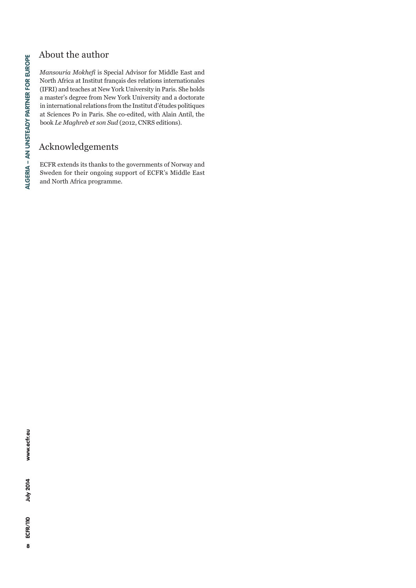# About the author

*Mansouria Mokhefi* is Special Advisor for Middle East and North Africa at Institut français des relations internationales (IFRI) and teaches at New York University in Paris. She holds a master's degree from New York University and a doctorate in international relations from the Institut d'études politiques at Sciences Po in Paris. She co-edited, with Alain Antil, the book *Le Maghreb et son Sud* (2012, CNRS editions).

# Acknowledgements

ECFR extends its thanks to the governments of Norway and Sweden for their ongoing support of ECFR's Middle East and North Africa programme.